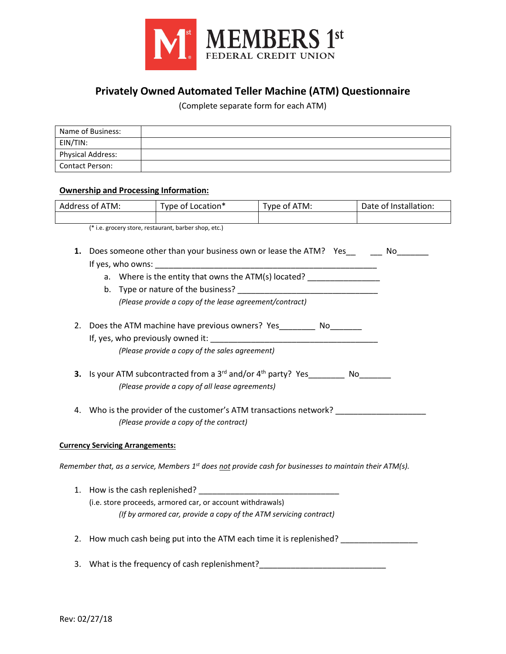

## **Privately Owned Automated Teller Machine (ATM) Questionnaire**

(Complete separate form for each ATM)

| Name of Business: |  |
|-------------------|--|
| EIN/TIN:          |  |
| Physical Address: |  |
| l Contact Person: |  |

## **Ownership and Processing Information:**

| Address of ATM: | Type of Location* | Type of ATM: | Date of Installation: |
|-----------------|-------------------|--------------|-----------------------|
|                 |                   |              |                       |

(\* i.e. grocery store, restaurant, barber shop, etc.)

- **1.** Does someone other than your business own or lease the ATM? Yes Mo If yes, who owns:
	- a. Where is the entity that owns the ATM(s) located? \_\_\_\_\_\_\_\_\_\_\_\_\_\_\_\_\_\_\_\_\_\_\_\_\_\_\_
	- b. Type or nature of the business? *(Please provide a copy of the lease agreement/contract)*
- 2. Does the ATM machine have previous owners? Yes\_\_\_\_\_\_\_\_ No\_\_\_\_\_\_\_ If, yes, who previously owned it: \_\_\_\_\_\_\_\_\_\_\_\_\_\_\_\_\_\_\_\_\_\_\_\_\_\_\_\_\_\_\_\_\_\_\_\_\_

*(Please provide a copy of the sales agreement)*

- **3.** Is your ATM subcontracted from a 3<sup>rd</sup> and/or 4<sup>th</sup> party? Yes No *(Please provide a copy of all lease agreements)*
- 4. Who is the provider of the customer's ATM transactions network? *(Please provide a copy of the contract)*

## **Currency Servicing Arrangements:**

*Remember that, as a service, Members 1st does not provide cash for businesses to maintain their ATM(s).*

- 1. How is the cash replenished? (i.e. store proceeds, armored car, or account withdrawals) *(If by armored car, provide a copy of the ATM servicing contract)*
- 2. How much cash being put into the ATM each time it is replenished? \_\_\_\_\_\_\_\_\_\_\_\_
- 3. What is the frequency of cash replenishment?